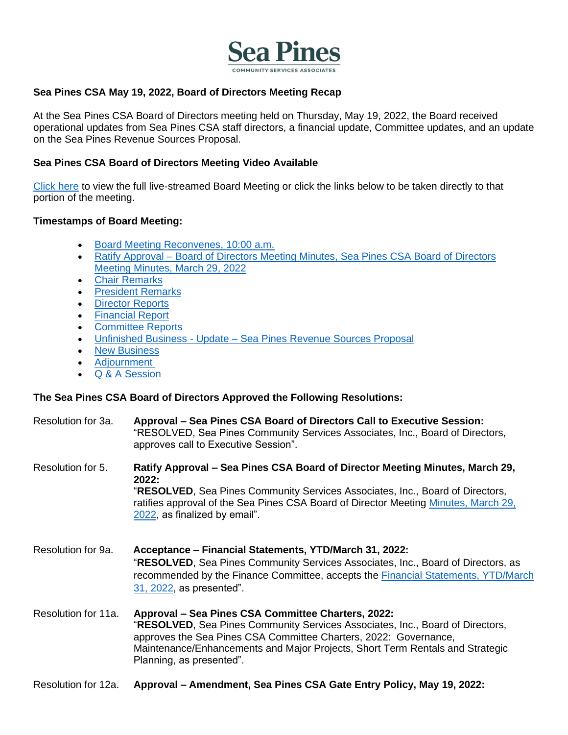

#### **Sea Pines CSA May 19, 2022, Board of Directors Meeting Recap**

At the Sea Pines CSA Board of Directors meeting held on Thursday, May 19, 2022, the Board received operational updates from Sea Pines CSA staff directors, a financial update, Committee updates, and an update on the Sea Pines Revenue Sources Proposal.

#### **Sea Pines CSA Board of Directors Meeting Video Available**

[Click here](https://youtu.be/LTDMymYmXvg?t=5) to view the full live-streamed Board Meeting or click the links below to be taken directly to that portion of the meeting.

#### **Timestamps of Board Meeting:**

- [Board Meeting Reconvenes, 10:00 a.m.](https://youtu.be/LTDMymYmXvg?t=6)
- Ratify Approval Board of Directors Meeting Minutes, Sea Pines CSA Board of Directors [Meeting Minutes, March 29,](https://youtu.be/LTDMymYmXvg?t=60) 2022
- [Chair Remarks](https://youtu.be/LTDMymYmXvg?t=88)
- [President Remarks](https://youtu.be/LTDMymYmXvg?t=291)
- **[Director Reports](https://youtu.be/LTDMymYmXvg?t=305)**
- **[Financial Report](https://youtu.be/LTDMymYmXvg?t=1531)**
- [Committee Reports](https://youtu.be/LTDMymYmXvg?t=1771)
- Unfinished Business Update [Sea Pines Revenue Sources Proposal](https://youtu.be/LTDMymYmXvg?t=3196)
- **[New Business](https://youtu.be/LTDMymYmXvg?t=7657)**
- **[Adjournment](https://youtu.be/LTDMymYmXvg?t=8127)**
- [Q & A Session](https://youtu.be/LTDMymYmXvg?t=8135)

### **The Sea Pines CSA Board of Directors Approved the Following Resolutions:**

[2022,](https://www.seapinesliving.com/wp-content/uploads/2022/05/03.29.22-CSA-BOD-Meeting-Minutes-Final.pdf) as finalized by email".

- Resolution for 3a. **Approval – Sea Pines CSA Board of Directors Call to Executive Session:** "RESOLVED, Sea Pines Community Services Associates, Inc., Board of Directors, approves call to Executive Session".
- Resolution for 5. **Ratify Approval – Sea Pines CSA Board of Director Meeting Minutes, March 29, 2022:**  "**RESOLVED**, Sea Pines Community Services Associates, Inc., Board of Directors, ratifies approval of the Sea Pines CSA Board of Director Meeting [Minutes, March 29,](https://www.seapinesliving.com/wp-content/uploads/2022/05/03.29.22-CSA-BOD-Meeting-Minutes-Final.pdf)
- Resolution for 9a. **Acceptance – Financial Statements, YTD/March 31, 2022:** "**RESOLVED**, Sea Pines Community Services Associates, Inc., Board of Directors, as recommended by the Finance Committee, accepts the [Financial Statements, YTD/March](https://www.seapinesliving.com/wp-content/uploads/2022/05/April-2022-Financial-Statements-for-SeaPinesLiving.pdf)  [31, 2022,](https://www.seapinesliving.com/wp-content/uploads/2022/05/April-2022-Financial-Statements-for-SeaPinesLiving.pdf) as presented".
- Resolution for 11a. **Approval – Sea Pines CSA Committee Charters, 2022:**  "**RESOLVED**, Sea Pines Community Services Associates, Inc., Board of Directors, approves the Sea Pines CSA Committee Charters, 2022: Governance, Maintenance/Enhancements and Major Projects, Short Term Rentals and Strategic Planning, as presented".
- Resolution for 12a. **Approval – Amendment, Sea Pines CSA Gate Entry Policy, May 19, 2022:**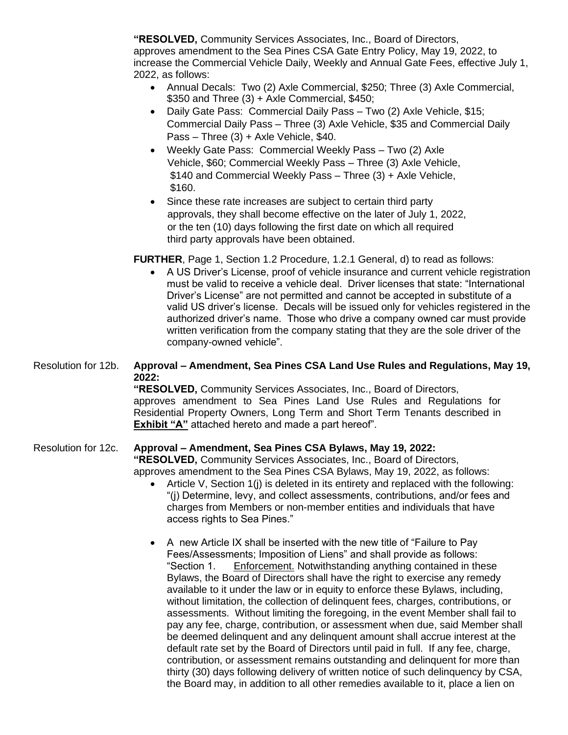**"RESOLVED,** Community Services Associates, Inc., Board of Directors, approves amendment to the Sea Pines CSA Gate Entry Policy, May 19, 2022, to increase the Commercial Vehicle Daily, Weekly and Annual Gate Fees, effective July 1, 2022, as follows:

- Annual Decals: Two (2) Axle Commercial, \$250; Three (3) Axle Commercial, \$350 and Three (3) + Axle Commercial, \$450;
- Daily Gate Pass: Commercial Daily Pass Two (2) Axle Vehicle, \$15; Commercial Daily Pass – Three (3) Axle Vehicle, \$35 and Commercial Daily Pass – Three (3) + Axle Vehicle, \$40.
- Weekly Gate Pass: Commercial Weekly Pass Two (2) Axle Vehicle, \$60; Commercial Weekly Pass – Three (3) Axle Vehicle, \$140 and Commercial Weekly Pass – Three (3) + Axle Vehicle, \$160.
- Since these rate increases are subject to certain third party approvals, they shall become effective on the later of July 1, 2022, or the ten (10) days following the first date on which all required third party approvals have been obtained.

### **FURTHER**, Page 1, Section 1.2 Procedure, 1.2.1 General, d) to read as follows:

• A US Driver's License, proof of vehicle insurance and current vehicle registration must be valid to receive a vehicle deal. Driver licenses that state: "International Driver's License" are not permitted and cannot be accepted in substitute of a valid US driver's license. Decals will be issued only for vehicles registered in the authorized driver's name. Those who drive a company owned car must provide written verification from the company stating that they are the sole driver of the company-owned vehicle".

#### Resolution for 12b. **Approval – Amendment, Sea Pines CSA Land Use Rules and Regulations, May 19, 2022:**

**"RESOLVED,** Community Services Associates, Inc., Board of Directors, approves amendment to Sea Pines Land Use Rules and Regulations for Residential Property Owners, Long Term and Short Term Tenants described in **Exhibit "A"** attached hereto and made a part hereof".

### Resolution for 12c. **Approval – Amendment, Sea Pines CSA Bylaws, May 19, 2022:**

**"RESOLVED,** Community Services Associates, Inc., Board of Directors, approves amendment to the Sea Pines CSA Bylaws, May 19, 2022, as follows:

- Article V, Section 1(j) is deleted in its entirety and replaced with the following: "(j) Determine, levy, and collect assessments, contributions, and/or fees and charges from Members or non-member entities and individuals that have access rights to Sea Pines."
- A new Article IX shall be inserted with the new title of "Failure to Pay Fees/Assessments; Imposition of Liens" and shall provide as follows: "Section 1. Enforcement. Notwithstanding anything contained in these Bylaws, the Board of Directors shall have the right to exercise any remedy available to it under the law or in equity to enforce these Bylaws, including, without limitation, the collection of delinquent fees, charges, contributions, or assessments. Without limiting the foregoing, in the event Member shall fail to pay any fee, charge, contribution, or assessment when due, said Member shall be deemed delinquent and any delinquent amount shall accrue interest at the default rate set by the Board of Directors until paid in full. If any fee, charge, contribution, or assessment remains outstanding and delinquent for more than thirty (30) days following delivery of written notice of such delinquency by CSA, the Board may, in addition to all other remedies available to it, place a lien on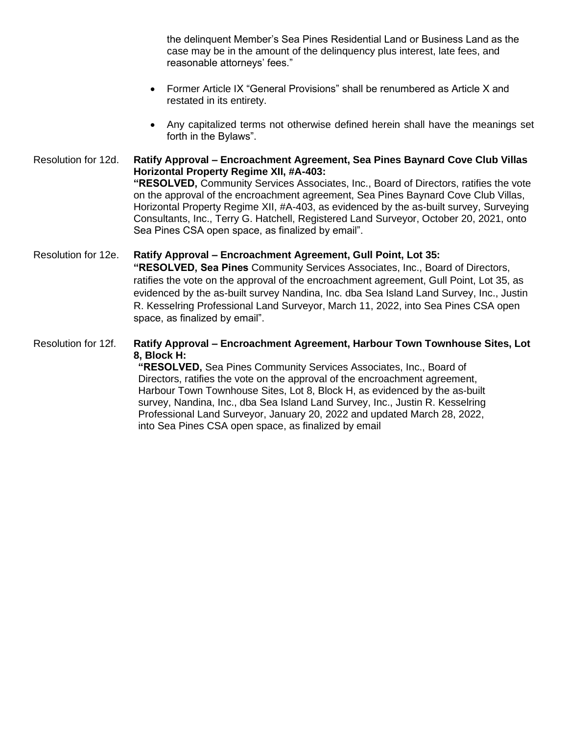the delinquent Member's Sea Pines Residential Land or Business Land as the case may be in the amount of the delinquency plus interest, late fees, and reasonable attorneys' fees."

- Former Article IX "General Provisions" shall be renumbered as Article X and restated in its entirety.
- Any capitalized terms not otherwise defined herein shall have the meanings set forth in the Bylaws".

### Resolution for 12d. **Ratify Approval – Encroachment Agreement, Sea Pines Baynard Cove Club Villas Horizontal Property Regime XII, #A-403: "RESOLVED,** Community Services Associates, Inc., Board of Directors, ratifies the vote on the approval of the encroachment agreement, Sea Pines Baynard Cove Club Villas, Horizontal Property Regime XII, #A-403, as evidenced by the as-built survey, Surveying Consultants, Inc., Terry G. Hatchell, Registered Land Surveyor, October 20, 2021, onto Sea Pines CSA open space, as finalized by email". Resolution for 12e. **Ratify Approval – Encroachment Agreement, Gull Point, Lot 35:**

## **"RESOLVED, Sea Pines** Community Services Associates, Inc., Board of Directors, ratifies the vote on the approval of the encroachment agreement, Gull Point, Lot 35, as evidenced by the as-built survey Nandina, Inc. dba Sea Island Land Survey, Inc., Justin R. Kesselring Professional Land Surveyor, March 11, 2022, into Sea Pines CSA open space, as finalized by email".

### Resolution for 12f. **Ratify Approval – Encroachment Agreement, Harbour Town Townhouse Sites, Lot 8, Block H:**

**"RESOLVED,** Sea Pines Community Services Associates, Inc., Board of Directors, ratifies the vote on the approval of the encroachment agreement, Harbour Town Townhouse Sites, Lot 8, Block H, as evidenced by the as-built survey, Nandina, Inc., dba Sea Island Land Survey, Inc., Justin R. Kesselring Professional Land Surveyor, January 20, 2022 and updated March 28, 2022, into Sea Pines CSA open space, as finalized by email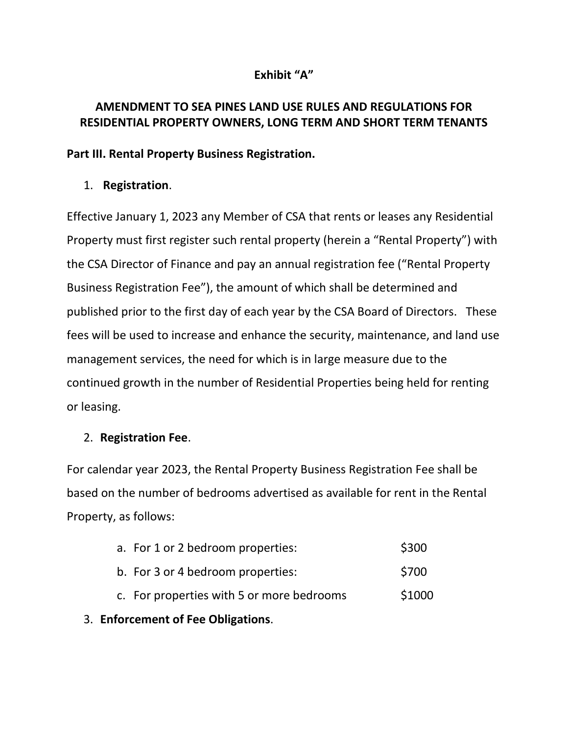# **Exhibit "A"**

# **AMENDMENT TO SEA PINES LAND USE RULES AND REGULATIONS FOR RESIDENTIAL PROPERTY OWNERS, LONG TERM AND SHORT TERM TENANTS**

### **Part III. Rental Property Business Registration.**

# 1. **Registration**.

Effective January 1, 2023 any Member of CSA that rents or leases any Residential Property must first register such rental property (herein a "Rental Property") with the CSA Director of Finance and pay an annual registration fee ("Rental Property Business Registration Fee"), the amount of which shall be determined and published prior to the first day of each year by the CSA Board of Directors. These fees will be used to increase and enhance the security, maintenance, and land use management services, the need for which is in large measure due to the continued growth in the number of Residential Properties being held for renting or leasing.

# 2. **Registration Fee**.

For calendar year 2023, the Rental Property Business Registration Fee shall be based on the number of bedrooms advertised as available for rent in the Rental Property, as follows:

| 3. Enforcement of Fee Obligations. |                                           |        |
|------------------------------------|-------------------------------------------|--------|
|                                    | c. For properties with 5 or more bedrooms | \$1000 |
|                                    | b. For 3 or 4 bedroom properties:         | \$700  |
|                                    | a. For 1 or 2 bedroom properties:         | \$300  |